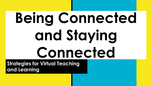# **Being Connected and Staying Connected**

**Strategies for Virtual Teaching and Learning**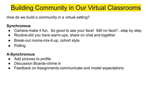## Building Community in Our Virtual Classrooms

How do we build a community in a virtual setting?

## **Synchronous**

- Camera-make it fun. So good to see your face! Still no face?...step by step
- Routine-did you have warm-ups, share on chat and together
- Break-out rooms-mix-it-up, cohort style
- Polling

## **A-Synchronous**

- Add pictures to profile
- Discussion Boards-chime in
- Feedback on Assignments-communicate and model expectations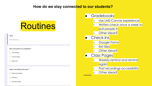### How do we stay connected to our students?

## **Routines**

#### Name

Short answer text

#### Who is the author of In Cold Blood? \*

John Grisham

◯ Truman Capote

◯ Harper Lee

What is the setting of the book? \*

Kansas City, Kansas

C Chicago, IL

Holcomb, Kansas

- Gradebooks
	- o Use LMS-Canvas experience
	- o Written-check once a week to pull people in
	- o Other ideas?
- Check-Ins
	- o Google Forms
	- Exit Slips
	- o Other ideas?
- Class Pages
	- o Weebly-remind and remind **again**
	- Post recordings-accessibility
	- o Other ideas?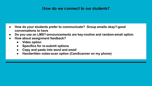### **How do we connect to our students?**

- **● How do your students prefer to communicate? Group emails okay?-good conversations to have**
- **● Do you use an LMS?-announcements are key-routine and random-email option**
- **● How about assignment feedback?**
	- **● Video option**
	- **● Specifics for re-submit options**
	- **● Copy and paste into word and email**
	- **● Handwritten notes-scan option (CamScanner on my phone)**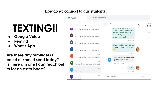## **How do we connect to our students?**

## **TEXTING!!**

- **● Google Voice**
- **● Remind**
- **● What's App**

**Are there any reminders I could or should send today? Is there anyone I can reach out to for an extra boost?**